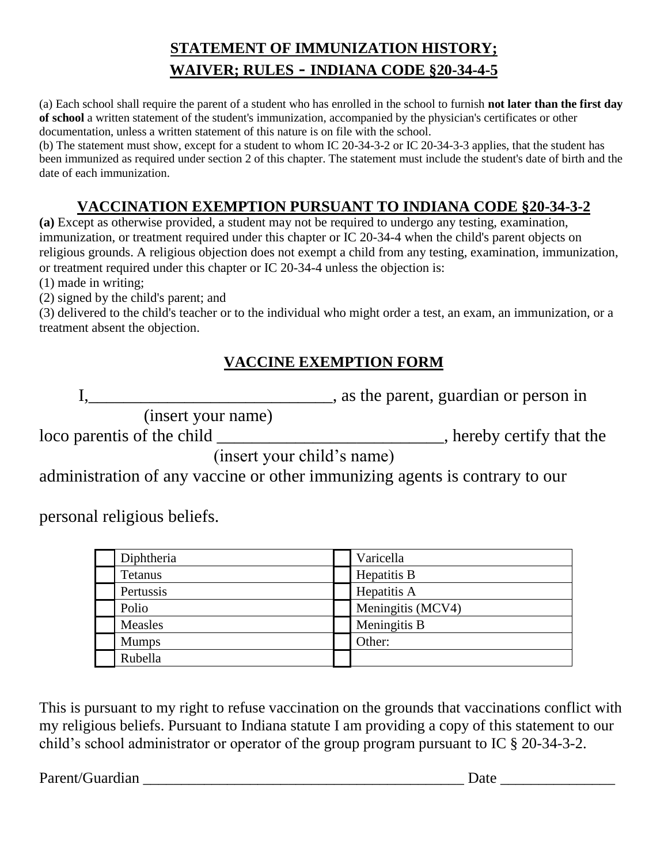## **STATEMENT OF IMMUNIZATION HISTORY; WAIVER; RULES - INDIANA CODE §20-34-4-5**

(a) Each school shall require the parent of a student who has enrolled in the school to furnish **not later than the first day of school** a written statement of the student's immunization, accompanied by the physician's certificates or other documentation, unless a written statement of this nature is on file with the school.

(b) The statement must show, except for a student to whom IC 20-34-3-2 or IC 20-34-3-3 applies, that the student has been immunized as required under section 2 of this chapter. The statement must include the student's date of birth and the date of each immunization.

## **VACCINATION EXEMPTION PURSUANT TO INDIANA CODE §20-34-3-2**

**(a)** Except as otherwise provided, a student may not be required to undergo any testing, examination, immunization, or treatment required under this chapter or IC 20-34-4 when the child's parent objects on religious grounds. A religious objection does not exempt a child from any testing, examination, immunization, or treatment required under this chapter or IC 20-34-4 unless the objection is:

(1) made in writing;

(2) signed by the child's parent; and

(3) delivered to the child's teacher or to the individual who might order a test, an exam, an immunization, or a treatment absent the objection.

## **VACCINE EXEMPTION FORM**

I, 1. 2012, The parent, guardian or person in

(insert your name)

loco parentis of the child \_\_\_\_\_\_\_\_\_\_\_\_\_\_\_\_\_\_\_\_\_\_\_\_, hereby certify that the

(insert your child's name)

administration of any vaccine or other immunizing agents is contrary to our

personal religious beliefs.

| Diphtheria   | Varicella         |
|--------------|-------------------|
| Tetanus      | Hepatitis B       |
| Pertussis    | Hepatitis A       |
| Polio        | Meningitis (MCV4) |
| Measles      | Meningitis B      |
| <b>Mumps</b> | Other:            |
| Rubella      |                   |

This is pursuant to my right to refuse vaccination on the grounds that vaccinations conflict with my religious beliefs. Pursuant to Indiana statute I am providing a copy of this statement to our child's school administrator or operator of the group program pursuant to IC § 20-34-3-2.

Parent/Guardian \_\_\_\_\_\_\_\_\_\_\_\_\_\_\_\_\_\_\_\_\_\_\_\_\_\_\_\_\_\_\_\_\_\_\_\_\_\_\_\_\_\_ Date \_\_\_\_\_\_\_\_\_\_\_\_\_\_\_